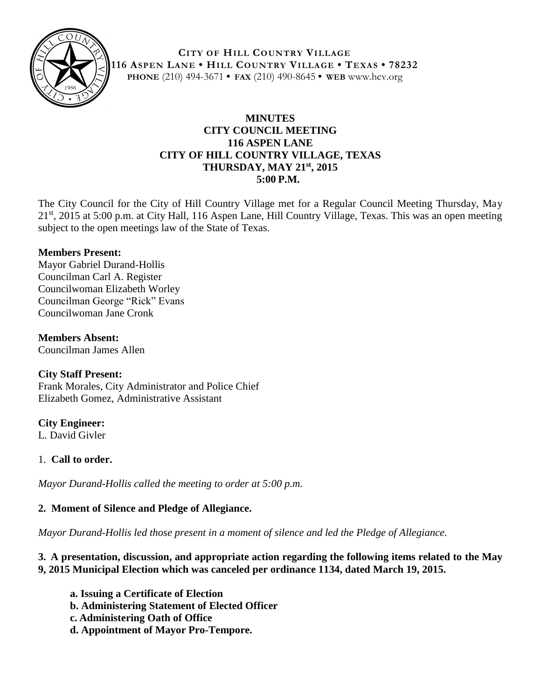

**CITY OF HILL COUNTRY VILLAGE 116 ASPEN LANE • HILL COUNTRY VILLAGE • TEXAS • 78232 PHONE** (210) 494-3671 **• FAX** (210) 490-8645 **• WEB** www.hcv.org

# **MINUTES CITY COUNCIL MEETING 116 ASPEN LANE CITY OF HILL COUNTRY VILLAGE, TEXAS THURSDAY, MAY 21st, 2015 5:00 P.M.**

The City Council for the City of Hill Country Village met for a Regular Council Meeting Thursday, May 21<sup>st</sup>, 2015 at 5:00 p.m. at City Hall, 116 Aspen Lane, Hill Country Village, Texas. This was an open meeting subject to the open meetings law of the State of Texas.

### **Members Present:**

Mayor Gabriel Durand-Hollis Councilman Carl A. Register Councilwoman Elizabeth Worley Councilman George "Rick" Evans Councilwoman Jane Cronk

**Members Absent:** Councilman James Allen

### **City Staff Present:**

Frank Morales, City Administrator and Police Chief Elizabeth Gomez, Administrative Assistant

### **City Engineer:**

L. David Givler

### 1. **Call to order.**

*Mayor Durand-Hollis called the meeting to order at 5:00 p.m.*

# **2. Moment of Silence and Pledge of Allegiance.**

*Mayor Durand-Hollis led those present in a moment of silence and led the Pledge of Allegiance.*

### **3. A presentation, discussion, and appropriate action regarding the following items related to the May 9, 2015 Municipal Election which was canceled per ordinance 1134, dated March 19, 2015.**

- **a. Issuing a Certificate of Election**
- **b. Administering Statement of Elected Officer**
- **c. Administering Oath of Office**
- **d. Appointment of Mayor Pro-Tempore.**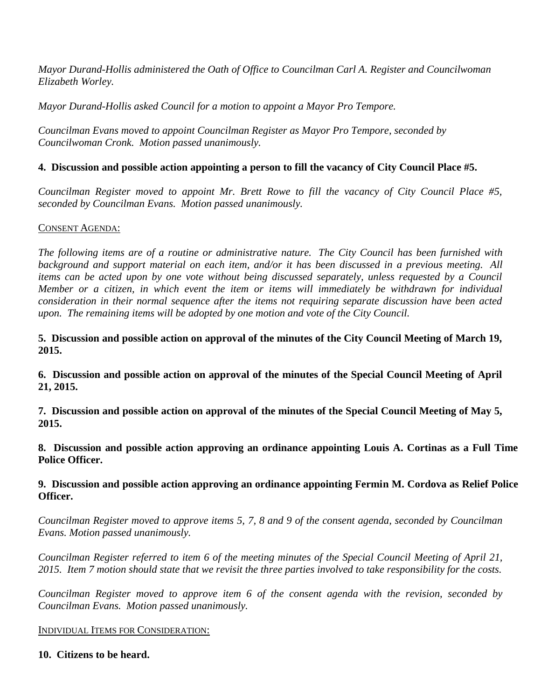*Mayor Durand-Hollis administered the Oath of Office to Councilman Carl A. Register and Councilwoman Elizabeth Worley.*

*Mayor Durand-Hollis asked Council for a motion to appoint a Mayor Pro Tempore.*

*Councilman Evans moved to appoint Councilman Register as Mayor Pro Tempore, seconded by Councilwoman Cronk. Motion passed unanimously.*

# **4. Discussion and possible action appointing a person to fill the vacancy of City Council Place #5.**

*Councilman Register moved to appoint Mr. Brett Rowe to fill the vacancy of City Council Place #5, seconded by Councilman Evans. Motion passed unanimously.* 

#### CONSENT AGENDA:

*The following items are of a routine or administrative nature. The City Council has been furnished with background and support material on each item, and/or it has been discussed in a previous meeting. All items can be acted upon by one vote without being discussed separately, unless requested by a Council Member or a citizen, in which event the item or items will immediately be withdrawn for individual consideration in their normal sequence after the items not requiring separate discussion have been acted upon. The remaining items will be adopted by one motion and vote of the City Council.*

**5. Discussion and possible action on approval of the minutes of the City Council Meeting of March 19, 2015.**

**6. Discussion and possible action on approval of the minutes of the Special Council Meeting of April 21, 2015.**

**7. Discussion and possible action on approval of the minutes of the Special Council Meeting of May 5, 2015.**

**8. Discussion and possible action approving an ordinance appointing Louis A. Cortinas as a Full Time Police Officer.**

**9. Discussion and possible action approving an ordinance appointing Fermin M. Cordova as Relief Police Officer.**

*Councilman Register moved to approve items 5, 7, 8 and 9 of the consent agenda, seconded by Councilman Evans. Motion passed unanimously.*

*Councilman Register referred to item 6 of the meeting minutes of the Special Council Meeting of April 21, 2015. Item 7 motion should state that we revisit the three parties involved to take responsibility for the costs.* 

*Councilman Register moved to approve item 6 of the consent agenda with the revision, seconded by Councilman Evans. Motion passed unanimously.* 

### INDIVIDUAL ITEMS FOR CONSIDERATION:

### **10. Citizens to be heard.**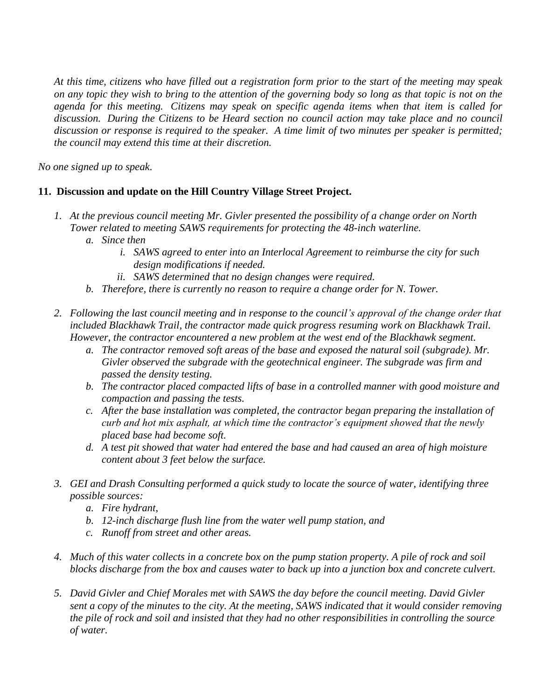*At this time, citizens who have filled out a registration form prior to the start of the meeting may speak on any topic they wish to bring to the attention of the governing body so long as that topic is not on the agenda for this meeting. Citizens may speak on specific agenda items when that item is called for discussion. During the Citizens to be Heard section no council action may take place and no council discussion or response is required to the speaker. A time limit of two minutes per speaker is permitted; the council may extend this time at their discretion.*

*No one signed up to speak*.

# **11. Discussion and update on the Hill Country Village Street Project.**

- *1. At the previous council meeting Mr. Givler presented the possibility of a change order on North Tower related to meeting SAWS requirements for protecting the 48-inch waterline.* 
	- *a. Since then*
		- *i. SAWS agreed to enter into an Interlocal Agreement to reimburse the city for such design modifications if needed.*
		- *ii. SAWS determined that no design changes were required.*
	- *b. Therefore, there is currently no reason to require a change order for N. Tower.*
- *2. Following the last council meeting and in response to the council's approval of the change order that included Blackhawk Trail, the contractor made quick progress resuming work on Blackhawk Trail. However, the contractor encountered a new problem at the west end of the Blackhawk segment.*
	- *a. The contractor removed soft areas of the base and exposed the natural soil (subgrade). Mr. Givler observed the subgrade with the geotechnical engineer. The subgrade was firm and passed the density testing.*
	- *b. The contractor placed compacted lifts of base in a controlled manner with good moisture and compaction and passing the tests.*
	- *c. After the base installation was completed, the contractor began preparing the installation of curb and hot mix asphalt, at which time the contractor's equipment showed that the newly placed base had become soft.*
	- *d. A test pit showed that water had entered the base and had caused an area of high moisture content about 3 feet below the surface.*
- *3. GEI and Drash Consulting performed a quick study to locate the source of water, identifying three possible sources:*
	- *a. Fire hydrant,*
	- *b. 12-inch discharge flush line from the water well pump station, and*
	- *c. Runoff from street and other areas.*
- *4. Much of this water collects in a concrete box on the pump station property. A pile of rock and soil blocks discharge from the box and causes water to back up into a junction box and concrete culvert.*
- *5. David Givler and Chief Morales met with SAWS the day before the council meeting. David Givler sent a copy of the minutes to the city. At the meeting, SAWS indicated that it would consider removing the pile of rock and soil and insisted that they had no other responsibilities in controlling the source of water.*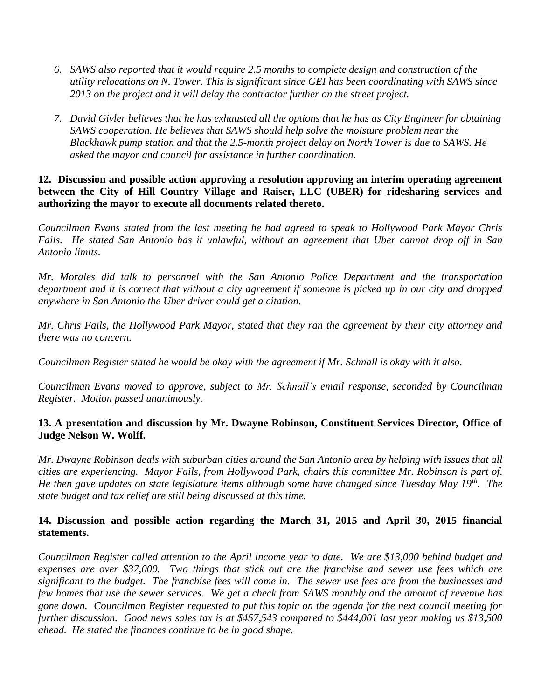- *6. SAWS also reported that it would require 2.5 months to complete design and construction of the utility relocations on N. Tower. This is significant since GEI has been coordinating with SAWS since 2013 on the project and it will delay the contractor further on the street project.*
- *7. David Givler believes that he has exhausted all the options that he has as City Engineer for obtaining SAWS cooperation. He believes that SAWS should help solve the moisture problem near the Blackhawk pump station and that the 2.5-month project delay on North Tower is due to SAWS. He asked the mayor and council for assistance in further coordination.*

**12. Discussion and possible action approving a resolution approving an interim operating agreement between the City of Hill Country Village and Raiser, LLC (UBER) for ridesharing services and authorizing the mayor to execute all documents related thereto.**

*Councilman Evans stated from the last meeting he had agreed to speak to Hollywood Park Mayor Chris Fails. He stated San Antonio has it unlawful, without an agreement that Uber cannot drop off in San Antonio limits.* 

*Mr. Morales did talk to personnel with the San Antonio Police Department and the transportation department and it is correct that without a city agreement if someone is picked up in our city and dropped anywhere in San Antonio the Uber driver could get a citation.* 

*Mr. Chris Fails, the Hollywood Park Mayor, stated that they ran the agreement by their city attorney and there was no concern.*

*Councilman Register stated he would be okay with the agreement if Mr. Schnall is okay with it also.*

*Councilman Evans moved to approve, subject to Mr. Schnall's email response, seconded by Councilman Register. Motion passed unanimously.* 

### **13. A presentation and discussion by Mr. Dwayne Robinson, Constituent Services Director, Office of Judge Nelson W. Wolff.**

*Mr. Dwayne Robinson deals with suburban cities around the San Antonio area by helping with issues that all cities are experiencing. Mayor Fails, from Hollywood Park, chairs this committee Mr. Robinson is part of. He then gave updates on state legislature items although some have changed since Tuesday May 19th . The state budget and tax relief are still being discussed at this time.*

#### **14. Discussion and possible action regarding the March 31, 2015 and April 30, 2015 financial statements.**

*Councilman Register called attention to the April income year to date. We are \$13,000 behind budget and expenses are over \$37,000. Two things that stick out are the franchise and sewer use fees which are significant to the budget. The franchise fees will come in. The sewer use fees are from the businesses and few homes that use the sewer services. We get a check from SAWS monthly and the amount of revenue has gone down. Councilman Register requested to put this topic on the agenda for the next council meeting for further discussion. Good news sales tax is at \$457,543 compared to \$444,001 last year making us \$13,500 ahead. He stated the finances continue to be in good shape.*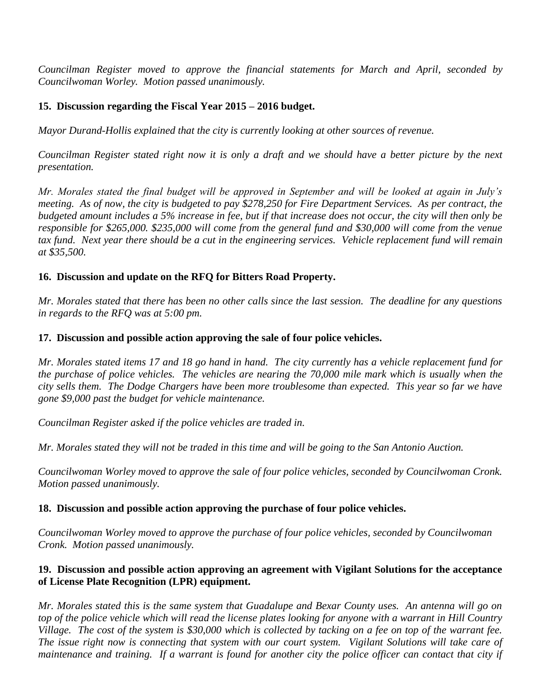*Councilman Register moved to approve the financial statements for March and April, seconded by Councilwoman Worley. Motion passed unanimously.*

### **15. Discussion regarding the Fiscal Year 2015 – 2016 budget.**

*Mayor Durand-Hollis explained that the city is currently looking at other sources of revenue.* 

*Councilman Register stated right now it is only a draft and we should have a better picture by the next presentation.*

*Mr. Morales stated the final budget will be approved in September and will be looked at again in July's meeting. As of now, the city is budgeted to pay \$278,250 for Fire Department Services. As per contract, the budgeted amount includes a 5% increase in fee, but if that increase does not occur, the city will then only be responsible for \$265,000. \$235,000 will come from the general fund and \$30,000 will come from the venue tax fund. Next year there should be a cut in the engineering services. Vehicle replacement fund will remain at \$35,500.* 

#### **16. Discussion and update on the RFQ for Bitters Road Property.**

*Mr. Morales stated that there has been no other calls since the last session. The deadline for any questions in regards to the RFQ was at 5:00 pm.*

#### **17. Discussion and possible action approving the sale of four police vehicles.**

*Mr. Morales stated items 17 and 18 go hand in hand. The city currently has a vehicle replacement fund for the purchase of police vehicles. The vehicles are nearing the 70,000 mile mark which is usually when the city sells them. The Dodge Chargers have been more troublesome than expected. This year so far we have gone \$9,000 past the budget for vehicle maintenance.* 

*Councilman Register asked if the police vehicles are traded in.* 

*Mr. Morales stated they will not be traded in this time and will be going to the San Antonio Auction.* 

*Councilwoman Worley moved to approve the sale of four police vehicles, seconded by Councilwoman Cronk. Motion passed unanimously.*

#### **18. Discussion and possible action approving the purchase of four police vehicles.**

*Councilwoman Worley moved to approve the purchase of four police vehicles, seconded by Councilwoman Cronk. Motion passed unanimously.* 

### **19. Discussion and possible action approving an agreement with Vigilant Solutions for the acceptance of License Plate Recognition (LPR) equipment.**

*Mr. Morales stated this is the same system that Guadalupe and Bexar County uses. An antenna will go on top of the police vehicle which will read the license plates looking for anyone with a warrant in Hill Country Village. The cost of the system is \$30,000 which is collected by tacking on a fee on top of the warrant fee. The issue right now is connecting that system with our court system. Vigilant Solutions will take care of maintenance and training. If a warrant is found for another city the police officer can contact that city if*